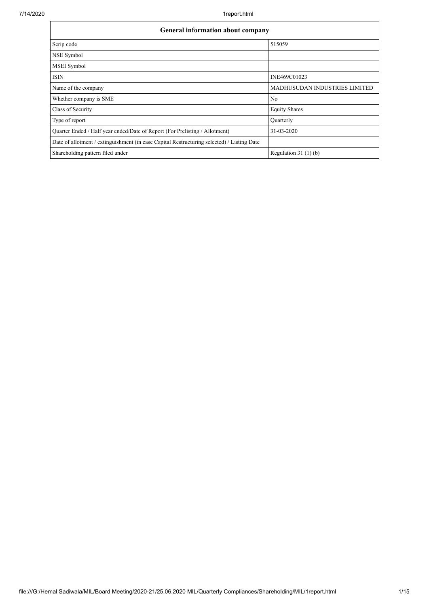| <b>General information about company</b>                                                   |                                      |  |  |  |  |  |  |
|--------------------------------------------------------------------------------------------|--------------------------------------|--|--|--|--|--|--|
| Scrip code                                                                                 | 515059                               |  |  |  |  |  |  |
| NSE Symbol                                                                                 |                                      |  |  |  |  |  |  |
| MSEI Symbol                                                                                |                                      |  |  |  |  |  |  |
| <b>ISIN</b>                                                                                | INE469C01023                         |  |  |  |  |  |  |
| Name of the company                                                                        | <b>MADHUSUDAN INDUSTRIES LIMITED</b> |  |  |  |  |  |  |
| Whether company is SME                                                                     | No                                   |  |  |  |  |  |  |
| Class of Security                                                                          | <b>Equity Shares</b>                 |  |  |  |  |  |  |
| Type of report                                                                             | Quarterly                            |  |  |  |  |  |  |
| Quarter Ended / Half year ended/Date of Report (For Prelisting / Allotment)                | 31-03-2020                           |  |  |  |  |  |  |
| Date of allotment / extinguishment (in case Capital Restructuring selected) / Listing Date |                                      |  |  |  |  |  |  |
| Shareholding pattern filed under                                                           | Regulation $31(1)(b)$                |  |  |  |  |  |  |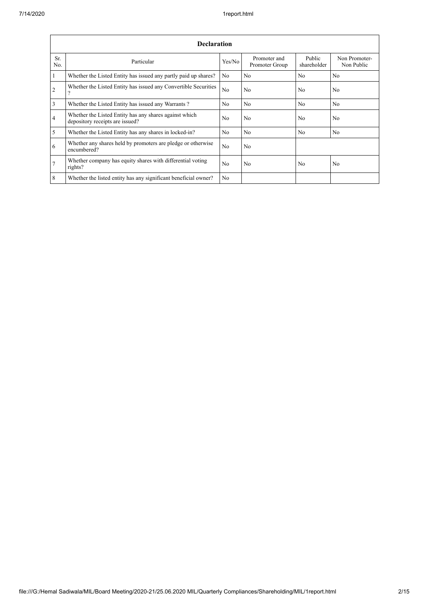|                 | <b>Declaration</b>                                                                        |                |                                |                       |                             |  |  |  |  |  |  |
|-----------------|-------------------------------------------------------------------------------------------|----------------|--------------------------------|-----------------------|-----------------------------|--|--|--|--|--|--|
| Sr.<br>No.      | Particular                                                                                | Yes/No         | Promoter and<br>Promoter Group | Public<br>shareholder | Non Promoter-<br>Non Public |  |  |  |  |  |  |
| $\mathbf{1}$    | Whether the Listed Entity has issued any partly paid up shares?                           | N <sub>0</sub> | No                             | N <sub>0</sub>        | N <sub>0</sub>              |  |  |  |  |  |  |
| $\overline{2}$  | Whether the Listed Entity has issued any Convertible Securities<br>9                      | N <sub>0</sub> | N <sub>o</sub>                 | N <sub>o</sub>        | N <sub>o</sub>              |  |  |  |  |  |  |
| 3               | Whether the Listed Entity has issued any Warrants?                                        | N <sub>0</sub> | N <sub>o</sub>                 | N <sub>o</sub>        | N <sub>o</sub>              |  |  |  |  |  |  |
| $\overline{4}$  | Whether the Listed Entity has any shares against which<br>depository receipts are issued? | N <sub>0</sub> | N <sub>o</sub>                 | N <sub>o</sub>        | N <sub>o</sub>              |  |  |  |  |  |  |
| 5               | Whether the Listed Entity has any shares in locked-in?                                    | N <sub>0</sub> | No                             | N <sub>0</sub>        | No                          |  |  |  |  |  |  |
| 6               | Whether any shares held by promoters are pledge or otherwise<br>encumbered?               | N <sub>0</sub> | N <sub>o</sub>                 |                       |                             |  |  |  |  |  |  |
| $7\overline{ }$ | Whether company has equity shares with differential voting<br>rights?                     | N <sub>o</sub> | N <sub>o</sub>                 | N <sub>o</sub>        | N <sub>o</sub>              |  |  |  |  |  |  |
| 8               | Whether the listed entity has any significant beneficial owner?                           | N <sub>0</sub> |                                |                       |                             |  |  |  |  |  |  |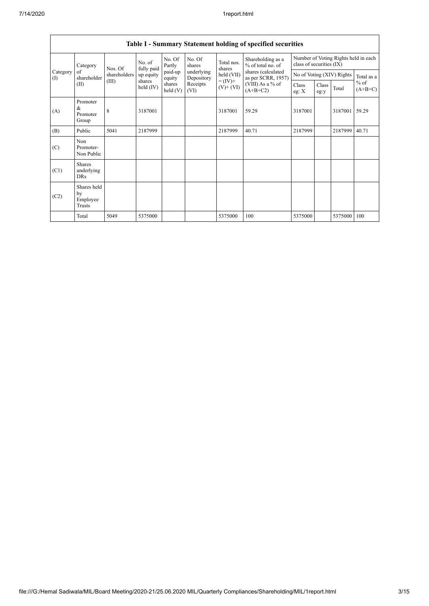|                                                          | Table I - Summary Statement holding of specified securities |           |                       |                          |                  |                                          |                                        |                                                                  |                           |            |                     |
|----------------------------------------------------------|-------------------------------------------------------------|-----------|-----------------------|--------------------------|------------------|------------------------------------------|----------------------------------------|------------------------------------------------------------------|---------------------------|------------|---------------------|
| Category<br>Category<br>of<br>shareholder<br>(1)<br>(II) |                                                             | Nos. Of   | No. of<br>fully paid  | No. Of<br>Partly         | No. Of<br>shares | Total nos.<br>shares                     | Shareholding as a<br>% of total no. of | Number of Voting Rights held in each<br>class of securities (IX) |                           |            |                     |
|                                                          | shareholders                                                | up equity | paid-up<br>equity     | underlying<br>Depository | held (VII)       | shares (calculated<br>as per SCRR, 1957) |                                        |                                                                  | No of Voting (XIV) Rights | Total as a |                     |
|                                                          |                                                             | (III)     | shares<br>held $(IV)$ | shares<br>held(V)        | Receipts<br>(VI) | $= (IV) +$<br>$(V)$ + $(VI)$             | (VIII) As a % of<br>$(A+B+C2)$         | Class<br>eg: X                                                   | Class<br>eg:y             | Total      | $%$ of<br>$(A+B+C)$ |
| (A)                                                      | Promoter<br>&<br>Promoter<br>Group                          | 8         | 3187001               |                          |                  | 3187001                                  | 59.29                                  | 3187001                                                          |                           | 3187001    | 59.29               |
| (B)                                                      | Public                                                      | 5041      | 2187999               |                          |                  | 2187999                                  | 40.71                                  | 2187999                                                          |                           | 2187999    | 40.71               |
| (C)                                                      | Non<br>Promoter-<br>Non Public                              |           |                       |                          |                  |                                          |                                        |                                                                  |                           |            |                     |
| (C1)                                                     | <b>Shares</b><br>underlying<br><b>DRs</b>                   |           |                       |                          |                  |                                          |                                        |                                                                  |                           |            |                     |
| (C2)                                                     | Shares held<br>by<br>Employee<br>Trusts                     |           |                       |                          |                  |                                          |                                        |                                                                  |                           |            |                     |
|                                                          | Total                                                       | 5049      | 5375000               |                          |                  | 5375000                                  | 100                                    | 5375000                                                          |                           | 5375000    | 100                 |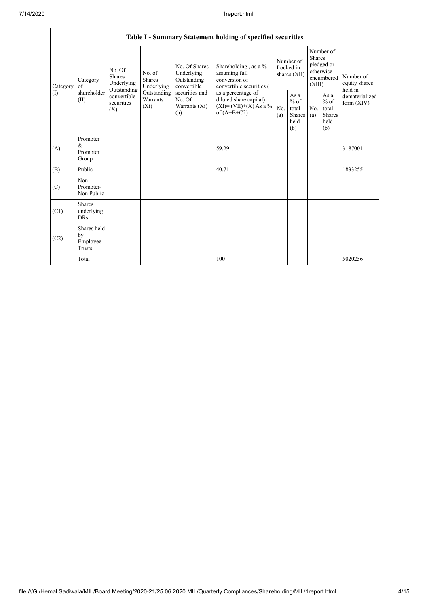|                          | Table I - Summary Statement holding of specified securities |                                                                                                                                                                         |                                                  |                                                                                            |                                                                                    |                                                         |            |                                                                               |                                |                                       |  |
|--------------------------|-------------------------------------------------------------|-------------------------------------------------------------------------------------------------------------------------------------------------------------------------|--------------------------------------------------|--------------------------------------------------------------------------------------------|------------------------------------------------------------------------------------|---------------------------------------------------------|------------|-------------------------------------------------------------------------------|--------------------------------|---------------------------------------|--|
| Category<br>$($ $\Gamma$ | Category<br>of<br>shareholder<br>(II)                       | No. Of<br>No. of<br><b>Shares</b><br><b>Shares</b><br>Underlying<br>Underlying<br>Outstanding<br>Outstanding<br>convertible<br>Warrants<br>securities<br>$(X_i)$<br>(X) |                                                  | No. Of Shares<br>Underlying<br>Outstanding<br>convertible                                  | Shareholding, as a %<br>assuming full<br>conversion of<br>convertible securities ( | Number of<br>Locked in<br>shares (XII)                  |            | Number of<br><b>Shares</b><br>pledged or<br>otherwise<br>encumbered<br>(XIII) |                                | Number of<br>equity shares<br>held in |  |
|                          |                                                             |                                                                                                                                                                         | securities and<br>No. Of<br>Warrants (Xi)<br>(a) | as a percentage of<br>diluted share capital)<br>$(XI) = (VII)+(X) As a %$<br>of $(A+B+C2)$ | No.<br>(a)                                                                         | As a<br>$%$ of<br>total<br><b>Shares</b><br>held<br>(b) | No.<br>(a) | As $\mathbf{a}$<br>$%$ of<br>total<br><b>Shares</b><br>held<br>(b)            | dematerialized<br>form $(XIV)$ |                                       |  |
| (A)                      | Promoter<br>$\&$<br>Promoter<br>Group                       |                                                                                                                                                                         |                                                  |                                                                                            | 59.29                                                                              |                                                         |            |                                                                               |                                | 3187001                               |  |
| (B)                      | Public                                                      |                                                                                                                                                                         |                                                  |                                                                                            | 40.71                                                                              |                                                         |            |                                                                               |                                | 1833255                               |  |
| (C)                      | Non<br>Promoter-<br>Non Public                              |                                                                                                                                                                         |                                                  |                                                                                            |                                                                                    |                                                         |            |                                                                               |                                |                                       |  |
| (C1)                     | <b>Shares</b><br>underlying<br><b>DRs</b>                   |                                                                                                                                                                         |                                                  |                                                                                            |                                                                                    |                                                         |            |                                                                               |                                |                                       |  |
| (C2)                     | Shares held<br>by<br>Employee<br>Trusts                     |                                                                                                                                                                         |                                                  |                                                                                            |                                                                                    |                                                         |            |                                                                               |                                |                                       |  |
|                          | Total                                                       |                                                                                                                                                                         |                                                  |                                                                                            | 100                                                                                |                                                         |            |                                                                               |                                | 5020256                               |  |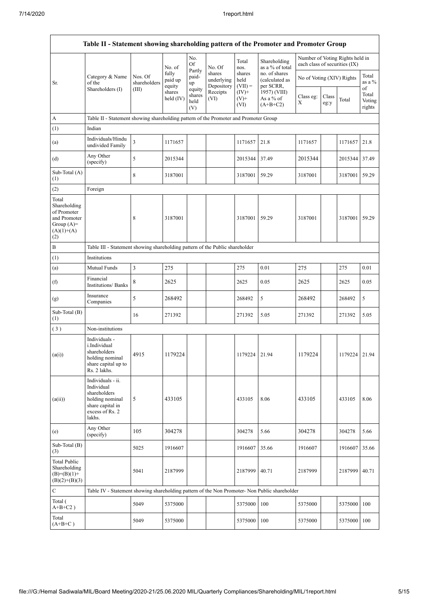$\mathbf{r}$ 

| Table II - Statement showing shareholding pattern of the Promoter and Promoter Group        |                                                                                                                     |                                                                              |                            |                                 |                                    |                             |                                              |                               |               |                                 |                           |
|---------------------------------------------------------------------------------------------|---------------------------------------------------------------------------------------------------------------------|------------------------------------------------------------------------------|----------------------------|---------------------------------|------------------------------------|-----------------------------|----------------------------------------------|-------------------------------|---------------|---------------------------------|---------------------------|
|                                                                                             |                                                                                                                     |                                                                              | No. of                     | No.<br><b>Of</b>                | No. Of                             | Total<br>nos.               | Shareholding<br>as a % of total              | each class of securities (IX) |               | Number of Voting Rights held in |                           |
| Sr.                                                                                         | Category & Name<br>of the                                                                                           | Nos. Of<br>shareholders                                                      | fully<br>paid up<br>equity | Partly<br>paid-<br>up           | shares<br>underlying<br>Depository | shares<br>held<br>$(VII) =$ | no. of shares<br>(calculated as<br>per SCRR, | No of Voting (XIV) Rights     |               |                                 | Total<br>as a %<br>of     |
|                                                                                             | Shareholders (I)                                                                                                    | (III)                                                                        | shares<br>held (IV)        | equity<br>shares<br>held<br>(V) | Receipts<br>(VI)                   | $(IV)+$<br>$(V)$ +<br>(VI)  | 1957) (VIII)<br>As a % of<br>$(A+B+C2)$      | Class eg:<br>X                | Class<br>eg:y | Total                           | Total<br>Voting<br>rights |
| $\boldsymbol{\rm{A}}$                                                                       | Table II - Statement showing shareholding pattern of the Promoter and Promoter Group                                |                                                                              |                            |                                 |                                    |                             |                                              |                               |               |                                 |                           |
| (1)                                                                                         | Indian                                                                                                              |                                                                              |                            |                                 |                                    |                             |                                              |                               |               |                                 |                           |
| (a)                                                                                         | Individuals/Hindu<br>undivided Family                                                                               | 3                                                                            | 1171657                    |                                 |                                    | 1171657                     | 21.8                                         | 1171657                       |               | 1171657                         | 21.8                      |
| (d)                                                                                         | Any Other<br>(specify)                                                                                              | 5                                                                            | 2015344                    |                                 |                                    | 2015344                     | 37.49                                        | 2015344                       |               | 2015344                         | 37.49                     |
| Sub-Total (A)<br>(1)                                                                        |                                                                                                                     | 8                                                                            | 3187001                    |                                 |                                    | 3187001                     | 59.29                                        | 3187001                       |               | 3187001                         | 59.29                     |
| (2)                                                                                         | Foreign                                                                                                             |                                                                              |                            |                                 |                                    |                             |                                              |                               |               |                                 |                           |
| Total<br>Shareholding<br>of Promoter<br>and Promoter<br>Group $(A)=$<br>$(A)(1)+(A)$<br>(2) |                                                                                                                     | 8                                                                            | 3187001                    |                                 |                                    | 3187001                     | 59.29                                        | 3187001                       |               | 3187001                         | 59.29                     |
| $\, {\bf B}$                                                                                |                                                                                                                     | Table III - Statement showing shareholding pattern of the Public shareholder |                            |                                 |                                    |                             |                                              |                               |               |                                 |                           |
| (1)                                                                                         | Institutions                                                                                                        |                                                                              |                            |                                 |                                    |                             |                                              |                               |               |                                 |                           |
| (a)                                                                                         | Mutual Funds                                                                                                        | 3                                                                            | 275                        |                                 |                                    | 275                         | 0.01                                         | 275                           |               | 275                             | 0.01                      |
| (f)                                                                                         | Financial<br>Institutions/ Banks                                                                                    | 8                                                                            | 2625                       |                                 |                                    | 2625                        | 0.05                                         | 2625                          |               | 2625                            | 0.05                      |
| (g)                                                                                         | Insurance<br>Companies                                                                                              | 5                                                                            | 268492                     |                                 |                                    | 268492                      | 5                                            | 268492                        |               | 268492                          | 5                         |
| Sub-Total (B)<br>(1)                                                                        |                                                                                                                     | 16                                                                           | 271392                     |                                 |                                    | 271392                      | 5.05                                         | 271392                        |               | 271392                          | 5.05                      |
| (3)                                                                                         | Non-institutions                                                                                                    |                                                                              |                            |                                 |                                    |                             |                                              |                               |               |                                 |                           |
| (a(i))                                                                                      | Individuals -<br>i.Individual<br>shareholders<br>holding nominal<br>share capital up to<br>Rs. 2 lakhs.             | 4915                                                                         | 1179224                    |                                 |                                    | 1179224                     | 21.94                                        | 1179224                       |               | 1179224 21.94                   |                           |
| (a(ii))                                                                                     | Individuals - ii.<br>Individual<br>shareholders<br>holding nominal<br>share capital in<br>excess of Rs. 2<br>lakhs. | 5                                                                            | 433105                     |                                 |                                    | 433105                      | 8.06                                         | 433105                        |               | 433105                          | 8.06                      |
| (e)                                                                                         | Any Other<br>(specify)                                                                                              | 105                                                                          | 304278                     |                                 |                                    | 304278                      | 5.66                                         | 304278                        |               | 304278                          | 5.66                      |
| Sub-Total (B)<br>(3)                                                                        |                                                                                                                     | 5025                                                                         | 1916607                    |                                 |                                    | 1916607                     | 35.66                                        | 1916607                       |               | 1916607                         | 35.66                     |
| <b>Total Public</b><br>Shareholding<br>$(B)=(B)(1)+$<br>$(B)(2)+(B)(3)$                     |                                                                                                                     | 5041                                                                         | 2187999                    |                                 |                                    | 2187999                     | 40.71                                        | 2187999                       |               | 2187999 40.71                   |                           |
| $\mathbf C$                                                                                 | Table IV - Statement showing shareholding pattern of the Non Promoter- Non Public shareholder                       |                                                                              |                            |                                 |                                    |                             |                                              |                               |               |                                 |                           |
| Total (<br>$A+B+C2$ )                                                                       |                                                                                                                     | 5049                                                                         | 5375000                    |                                 |                                    | 5375000                     | 100                                          | 5375000                       |               | 5375000                         | 100                       |
| Total<br>$(A+B+C)$                                                                          |                                                                                                                     | 5049                                                                         | 5375000                    |                                 |                                    | 5375000                     | 100                                          | 5375000                       |               | 5375000                         | 100                       |

٦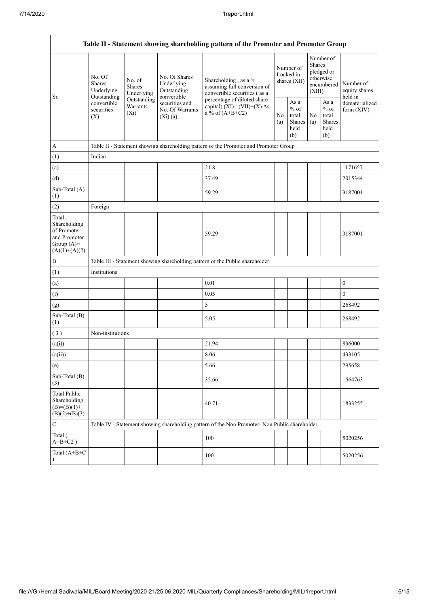| Table II - Statement showing shareholding pattern of the Promoter and Promoter Group    |                                                                                                                                                           |            |                                                           |                                                                                               |                                        |                                                  |                         |                                                    |                                                         |  |  |
|-----------------------------------------------------------------------------------------|-----------------------------------------------------------------------------------------------------------------------------------------------------------|------------|-----------------------------------------------------------|-----------------------------------------------------------------------------------------------|----------------------------------------|--------------------------------------------------|-------------------------|----------------------------------------------------|---------------------------------------------------------|--|--|
| Sr.                                                                                     | No. Of<br>No. of<br><b>Shares</b><br><b>Shares</b><br>Underlying<br>Outstanding<br>Outstanding<br>convertible<br>Warrants<br>securities<br>$(X_i)$<br>(X) | Underlying | No. Of Shares<br>Underlying<br>Outstanding<br>convertible | Shareholding, as a %<br>assuming full conversion of<br>convertible securities (as a           | Number of<br>Locked in<br>shares (XII) |                                                  | <b>Shares</b><br>(XIII) | Number of<br>pledged or<br>otherwise<br>encumbered | Number of<br>equity shares<br>held in<br>dematerialized |  |  |
|                                                                                         |                                                                                                                                                           |            | securities and<br>No. Of Warrants<br>(Xi)(a)              | percentage of diluted share<br>capital) $(XI) = (VII)+(X) As$<br>a % of $(A+B+C2)$            |                                        | As a<br>$%$ of<br>total<br>Shares<br>held<br>(b) | No.<br>(a)              | As a<br>$%$ of<br>total<br>Shares<br>held<br>(b)   | form $(XIV)$                                            |  |  |
| A                                                                                       |                                                                                                                                                           |            |                                                           | Table II - Statement showing shareholding pattern of the Promoter and Promoter Group          |                                        |                                                  |                         |                                                    |                                                         |  |  |
| (1)                                                                                     | Indian                                                                                                                                                    |            |                                                           |                                                                                               |                                        |                                                  |                         |                                                    |                                                         |  |  |
| (a)                                                                                     |                                                                                                                                                           |            |                                                           | 21.8                                                                                          |                                        |                                                  |                         |                                                    | 1171657                                                 |  |  |
| (d)                                                                                     |                                                                                                                                                           |            |                                                           | 37.49                                                                                         |                                        |                                                  |                         |                                                    | 2015344                                                 |  |  |
| Sub-Total (A)<br>(1)                                                                    |                                                                                                                                                           |            |                                                           | 59.29                                                                                         |                                        |                                                  |                         |                                                    | 3187001                                                 |  |  |
| (2)                                                                                     | Foreign                                                                                                                                                   |            |                                                           |                                                                                               |                                        |                                                  |                         |                                                    |                                                         |  |  |
| Total<br>Shareholding<br>of Promoter<br>and Promoter<br>Group $(A)=$<br>$(A)(1)+(A)(2)$ |                                                                                                                                                           |            |                                                           | 59.29                                                                                         |                                        |                                                  |                         |                                                    | 3187001                                                 |  |  |
| $\, {\bf B}$                                                                            |                                                                                                                                                           |            |                                                           | Table III - Statement showing shareholding pattern of the Public shareholder                  |                                        |                                                  |                         |                                                    |                                                         |  |  |
| (1)                                                                                     | Institutions                                                                                                                                              |            |                                                           |                                                                                               |                                        |                                                  |                         |                                                    |                                                         |  |  |
| (a)                                                                                     |                                                                                                                                                           |            |                                                           | 0.01                                                                                          |                                        |                                                  |                         |                                                    | $\boldsymbol{0}$                                        |  |  |
| (f)                                                                                     |                                                                                                                                                           |            |                                                           | 0.05                                                                                          |                                        |                                                  |                         |                                                    | $\mathbf{0}$                                            |  |  |
| (g)                                                                                     |                                                                                                                                                           |            |                                                           | 5                                                                                             |                                        |                                                  |                         |                                                    | 268492                                                  |  |  |
| Sub-Total (B)<br>(1)                                                                    |                                                                                                                                                           |            |                                                           | 5.05                                                                                          |                                        |                                                  |                         |                                                    | 268492                                                  |  |  |
| (3)                                                                                     | Non-institutions                                                                                                                                          |            |                                                           |                                                                                               |                                        |                                                  |                         |                                                    |                                                         |  |  |
| (a(i))                                                                                  |                                                                                                                                                           |            |                                                           | 21.94                                                                                         |                                        |                                                  |                         |                                                    | 836000                                                  |  |  |
| (a(ii))                                                                                 |                                                                                                                                                           |            |                                                           | 8.06                                                                                          |                                        |                                                  |                         |                                                    | 433105                                                  |  |  |
| (e)                                                                                     |                                                                                                                                                           |            |                                                           | 5.66                                                                                          |                                        |                                                  |                         |                                                    | 295658                                                  |  |  |
| Sub-Total (B)<br>(3)                                                                    |                                                                                                                                                           |            |                                                           | 35.66                                                                                         |                                        |                                                  |                         |                                                    | 1564763                                                 |  |  |
| <b>Total Public</b><br>Shareholding<br>$(B)= (B)(1) +$<br>$(B)(2)+(B)(3)$               |                                                                                                                                                           |            |                                                           | 40.71                                                                                         |                                        |                                                  |                         |                                                    | 1833255                                                 |  |  |
| $\mathbf C$                                                                             |                                                                                                                                                           |            |                                                           | Table IV - Statement showing shareholding pattern of the Non Promoter- Non Public shareholder |                                        |                                                  |                         |                                                    |                                                         |  |  |
| Total (<br>$A+B+C2$ )                                                                   |                                                                                                                                                           |            |                                                           | 100                                                                                           |                                        |                                                  |                         |                                                    | 5020256                                                 |  |  |
| Total (A+B+C                                                                            |                                                                                                                                                           |            |                                                           | 100                                                                                           |                                        |                                                  |                         |                                                    | 5020256                                                 |  |  |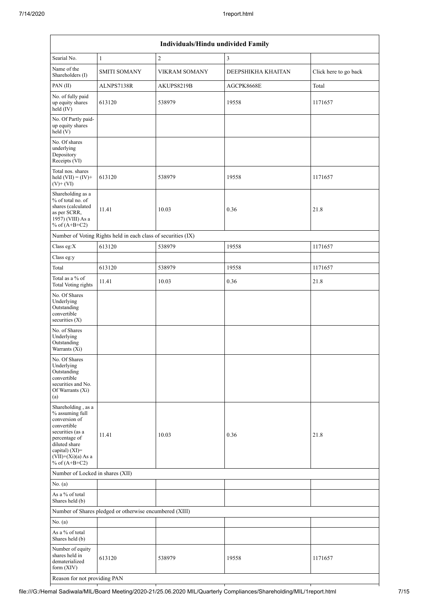|                                                                                                                                                                                          | Individuals/Hindu undivided Family                            |                      |                    |                       |  |  |  |  |  |  |
|------------------------------------------------------------------------------------------------------------------------------------------------------------------------------------------|---------------------------------------------------------------|----------------------|--------------------|-----------------------|--|--|--|--|--|--|
| Searial No.                                                                                                                                                                              | $\mathbf{1}$                                                  | $\overline{2}$       | 3                  |                       |  |  |  |  |  |  |
| Name of the<br>Shareholders (I)                                                                                                                                                          | <b>SMITI SOMANY</b>                                           | <b>VIKRAM SOMANY</b> | DEEPSHIKHA KHAITAN | Click here to go back |  |  |  |  |  |  |
| PAN(II)                                                                                                                                                                                  | ALNPS7138R                                                    | AKUPS8219B           | AGCPK8668E         | Total                 |  |  |  |  |  |  |
| No. of fully paid<br>up equity shares<br>held (IV)                                                                                                                                       | 613120                                                        | 538979               | 19558              | 1171657               |  |  |  |  |  |  |
| No. Of Partly paid-<br>up equity shares<br>held(V)                                                                                                                                       |                                                               |                      |                    |                       |  |  |  |  |  |  |
| No. Of shares<br>underlying<br>Depository<br>Receipts (VI)                                                                                                                               |                                                               |                      |                    |                       |  |  |  |  |  |  |
| Total nos. shares<br>held $(VII) = (IV) +$<br>$(V)$ + $(VI)$                                                                                                                             | 613120                                                        | 538979               | 19558              | 1171657               |  |  |  |  |  |  |
| Shareholding as a<br>% of total no. of<br>shares (calculated<br>as per SCRR,<br>1957) (VIII) As a<br>% of $(A+B+C2)$                                                                     | 11.41                                                         | 10.03                | 0.36               | 21.8                  |  |  |  |  |  |  |
|                                                                                                                                                                                          | Number of Voting Rights held in each class of securities (IX) |                      |                    |                       |  |  |  |  |  |  |
| Class eg: $X$                                                                                                                                                                            | 613120                                                        | 538979               | 19558              | 1171657               |  |  |  |  |  |  |
| Class eg:y                                                                                                                                                                               |                                                               |                      |                    |                       |  |  |  |  |  |  |
| Total                                                                                                                                                                                    | 613120                                                        | 538979               | 19558              | 1171657               |  |  |  |  |  |  |
| Total as a % of<br><b>Total Voting rights</b>                                                                                                                                            | 11.41                                                         | 10.03                | 0.36               | 21.8                  |  |  |  |  |  |  |
| No. Of Shares<br>Underlying<br>Outstanding<br>convertible<br>securities (X)                                                                                                              |                                                               |                      |                    |                       |  |  |  |  |  |  |
| No. of Shares<br>Underlying<br>Outstanding<br>Warrants (Xi)                                                                                                                              |                                                               |                      |                    |                       |  |  |  |  |  |  |
| No. Of Shares<br>Underlying<br>Outstanding<br>convertible<br>securities and No.<br>Of Warrants (Xi)<br>(a)                                                                               |                                                               |                      |                    |                       |  |  |  |  |  |  |
| Shareholding, as a<br>% assuming full<br>conversion of<br>convertible<br>securities (as a<br>percentage of<br>diluted share<br>capital) (XI)=<br>$(VII)+(Xi)(a)$ As a<br>% of $(A+B+C2)$ | 11.41                                                         | 10.03                | 0.36               | 21.8                  |  |  |  |  |  |  |
| Number of Locked in shares (XII)                                                                                                                                                         |                                                               |                      |                    |                       |  |  |  |  |  |  |
| No. (a)                                                                                                                                                                                  |                                                               |                      |                    |                       |  |  |  |  |  |  |
| As a % of total<br>Shares held (b)                                                                                                                                                       |                                                               |                      |                    |                       |  |  |  |  |  |  |
|                                                                                                                                                                                          | Number of Shares pledged or otherwise encumbered (XIII)       |                      |                    |                       |  |  |  |  |  |  |
| No. (a)                                                                                                                                                                                  |                                                               |                      |                    |                       |  |  |  |  |  |  |
| As a % of total<br>Shares held (b)                                                                                                                                                       |                                                               |                      |                    |                       |  |  |  |  |  |  |
| Number of equity<br>shares held in<br>dematerialized<br>form $(XIV)$                                                                                                                     | 613120                                                        | 538979               | 19558              | 1171657               |  |  |  |  |  |  |
| Reason for not providing PAN                                                                                                                                                             |                                                               |                      |                    |                       |  |  |  |  |  |  |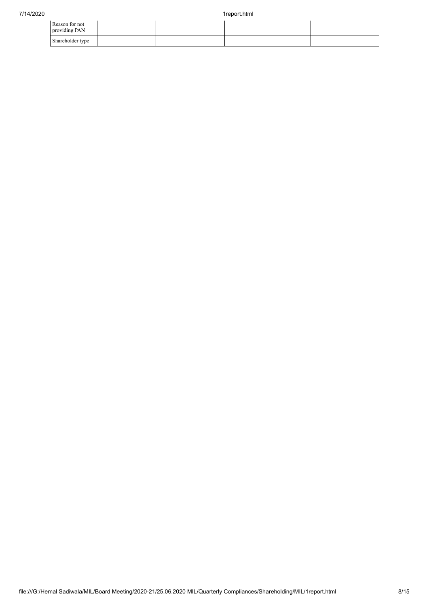| Reason for not<br>providing PAN |  |  |
|---------------------------------|--|--|
| Shareholder type                |  |  |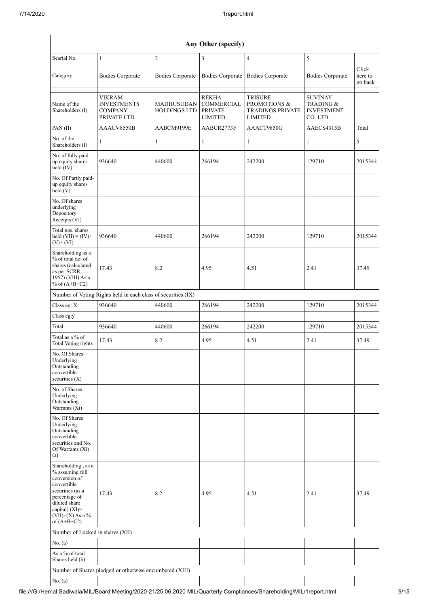| Any Other (specify)                                                                                                                                                                     |                                                                      |                                          |                                                                       |                                                                                        |                                                                         |                             |  |  |  |  |  |
|-----------------------------------------------------------------------------------------------------------------------------------------------------------------------------------------|----------------------------------------------------------------------|------------------------------------------|-----------------------------------------------------------------------|----------------------------------------------------------------------------------------|-------------------------------------------------------------------------|-----------------------------|--|--|--|--|--|
| Searial No.                                                                                                                                                                             | $\mathbf{1}$                                                         | $\overline{c}$                           | 3                                                                     | $\overline{4}$                                                                         | 5                                                                       |                             |  |  |  |  |  |
| Category                                                                                                                                                                                | <b>Bodies Corporate</b>                                              | <b>Bodies Corporate</b>                  | <b>Bodies Corporate</b>                                               | <b>Bodies Corporate</b>                                                                | <b>Bodies Corporate</b>                                                 | Click<br>here to<br>go back |  |  |  |  |  |
| Name of the<br>Shareholders (I)                                                                                                                                                         | <b>VIKRAM</b><br><b>INVESTMENTS</b><br><b>COMPANY</b><br>PRIVATE LTD | <b>MADHUSUDAN</b><br><b>HOLDINGS LTD</b> | <b>REKHA</b><br><b>COMMERCIAL</b><br><b>PRIVATE</b><br><b>LIMITED</b> | <b>TRISURE</b><br><b>PROMOTIONS &amp;</b><br><b>TRADINGS PRIVATE</b><br><b>LIMITED</b> | <b>SUVINAY</b><br><b>TRADING &amp;</b><br><b>INVESTMENT</b><br>CO. LTD. |                             |  |  |  |  |  |
| PAN(II)                                                                                                                                                                                 | AAACV8550B                                                           | AABCM9199E                               | AABCR2773F                                                            | AAACT9850G                                                                             | AAECS4315B                                                              | Total                       |  |  |  |  |  |
| No. of the<br>Shareholders (I)                                                                                                                                                          | 1                                                                    | $\mathbf{1}$                             | $\mathbf{1}$                                                          | 1                                                                                      | $\mathbf{1}$                                                            | 5                           |  |  |  |  |  |
| No. of fully paid<br>up equity shares<br>held $(IV)$                                                                                                                                    | 936640                                                               | 440600                                   | 266194                                                                | 242200                                                                                 | 129710                                                                  | 2015344                     |  |  |  |  |  |
| No. Of Partly paid-<br>up equity shares<br>held (V)                                                                                                                                     |                                                                      |                                          |                                                                       |                                                                                        |                                                                         |                             |  |  |  |  |  |
| No. Of shares<br>underlying<br>Depository<br>Receipts (VI)                                                                                                                              |                                                                      |                                          |                                                                       |                                                                                        |                                                                         |                             |  |  |  |  |  |
| Total nos. shares<br>held $(VII) = (IV) +$<br>$(V)$ + $(VI)$                                                                                                                            | 936640                                                               | 440600                                   | 266194                                                                | 242200                                                                                 | 129710                                                                  | 2015344                     |  |  |  |  |  |
| Shareholding as a<br>% of total no. of<br>shares (calculated<br>as per SCRR,<br>1957) (VIII) As a<br>% of $(A+B+C2)$                                                                    | 17.43                                                                | 8.2                                      | 4.95                                                                  | 4.51                                                                                   | 2.41                                                                    | 37.49                       |  |  |  |  |  |
|                                                                                                                                                                                         | Number of Voting Rights held in each class of securities (IX)        |                                          |                                                                       |                                                                                        |                                                                         |                             |  |  |  |  |  |
| Class eg: X                                                                                                                                                                             | 936640                                                               | 440600                                   | 266194                                                                | 242200                                                                                 | 129710                                                                  | 2015344                     |  |  |  |  |  |
| Class eg:y                                                                                                                                                                              |                                                                      |                                          |                                                                       |                                                                                        |                                                                         |                             |  |  |  |  |  |
| Total                                                                                                                                                                                   | 936640                                                               | 440600                                   | 266194                                                                | 242200                                                                                 | 129710                                                                  | 2015344                     |  |  |  |  |  |
| Total as a % of<br>Total Voting rights                                                                                                                                                  | 17.43                                                                | 8.2                                      | 4.95                                                                  | 4.51                                                                                   | 2.41                                                                    | 37.49                       |  |  |  |  |  |
| No. Of Shares<br>Underlying<br>Outstanding<br>convertible<br>securities (X)                                                                                                             |                                                                      |                                          |                                                                       |                                                                                        |                                                                         |                             |  |  |  |  |  |
| No. of Shares<br>Underlying<br>Outstanding<br>Warrants (Xi)                                                                                                                             |                                                                      |                                          |                                                                       |                                                                                        |                                                                         |                             |  |  |  |  |  |
| No. Of Shares<br>Underlying<br>Outstanding<br>convertible<br>securities and No.<br>Of Warrants (Xi)<br>(a)                                                                              |                                                                      |                                          |                                                                       |                                                                                        |                                                                         |                             |  |  |  |  |  |
| Shareholding, as a<br>% assuming full<br>conversion of<br>convertible<br>securities (as a<br>percentage of<br>diluted share<br>capital) $(XI)$ =<br>$(VII)+(X)$ As a %<br>of $(A+B+C2)$ | 17.43                                                                | 8.2                                      | 4.95                                                                  | 4.51                                                                                   | 2.41                                                                    | 37.49                       |  |  |  |  |  |
| Number of Locked in shares (XII)                                                                                                                                                        |                                                                      |                                          |                                                                       |                                                                                        |                                                                         |                             |  |  |  |  |  |
| No. (a)                                                                                                                                                                                 |                                                                      |                                          |                                                                       |                                                                                        |                                                                         |                             |  |  |  |  |  |
| As a % of total<br>Shares held (b)                                                                                                                                                      |                                                                      |                                          |                                                                       |                                                                                        |                                                                         |                             |  |  |  |  |  |
|                                                                                                                                                                                         | Number of Shares pledged or otherwise encumbered (XIII)              |                                          |                                                                       |                                                                                        |                                                                         |                             |  |  |  |  |  |
| No. (a)                                                                                                                                                                                 |                                                                      |                                          |                                                                       |                                                                                        |                                                                         |                             |  |  |  |  |  |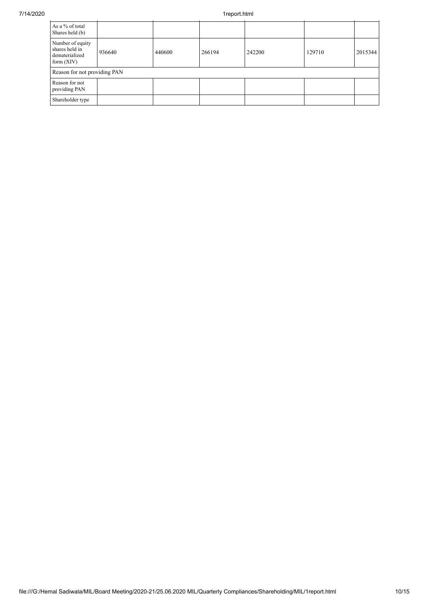## 7/14/2020 1report.html

| As a % of total<br>Shares held (b)                                   |        |        |        |        |        |         |
|----------------------------------------------------------------------|--------|--------|--------|--------|--------|---------|
| Number of equity<br>shares held in<br>dematerialized<br>form $(XIV)$ | 936640 | 440600 | 266194 | 242200 | 129710 | 2015344 |
| Reason for not providing PAN                                         |        |        |        |        |        |         |
| Reason for not<br>providing PAN                                      |        |        |        |        |        |         |
| Shareholder type                                                     |        |        |        |        |        |         |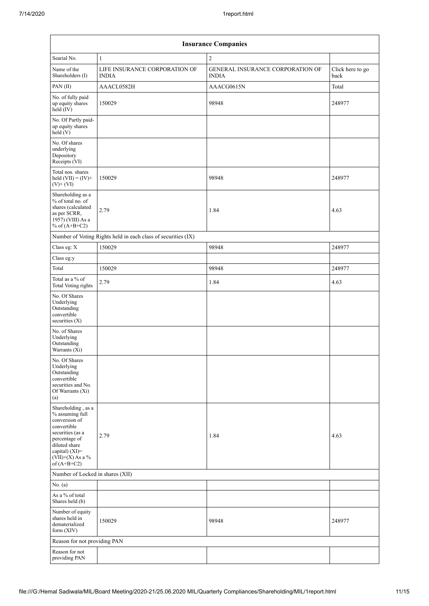| <b>Insurance Companies</b>                                                                                                                                                              |                                                               |                                                         |                          |  |  |  |  |  |  |
|-----------------------------------------------------------------------------------------------------------------------------------------------------------------------------------------|---------------------------------------------------------------|---------------------------------------------------------|--------------------------|--|--|--|--|--|--|
| Searial No.                                                                                                                                                                             | $\mathbf{1}$                                                  | $\overline{c}$                                          |                          |  |  |  |  |  |  |
| Name of the<br>Shareholders (I)                                                                                                                                                         | LIFE INSURANCE CORPORATION OF<br><b>INDIA</b>                 | <b>GENERAL INSURANCE CORPORATION OF</b><br><b>INDIA</b> | Click here to go<br>back |  |  |  |  |  |  |
| PAN(II)                                                                                                                                                                                 | AAACL0582H                                                    | AAACG0615N                                              | Total                    |  |  |  |  |  |  |
| No. of fully paid<br>up equity shares<br>$held$ (IV)                                                                                                                                    | 150029                                                        | 98948                                                   | 248977                   |  |  |  |  |  |  |
| No. Of Partly paid-<br>up equity shares<br>held(V)                                                                                                                                      |                                                               |                                                         |                          |  |  |  |  |  |  |
| No. Of shares<br>underlying<br>Depository<br>Receipts (VI)                                                                                                                              |                                                               |                                                         |                          |  |  |  |  |  |  |
| Total nos. shares<br>held $(VII) = (IV) +$<br>$(V)+(VI)$                                                                                                                                | 150029                                                        | 98948                                                   | 248977                   |  |  |  |  |  |  |
| Shareholding as a<br>% of total no. of<br>shares (calculated<br>as per SCRR,<br>1957) (VIII) As a<br>% of $(A+B+C2)$                                                                    | 2.79                                                          | 1.84                                                    | 4.63                     |  |  |  |  |  |  |
|                                                                                                                                                                                         | Number of Voting Rights held in each class of securities (IX) |                                                         |                          |  |  |  |  |  |  |
| Class eg: X                                                                                                                                                                             | 150029                                                        | 98948                                                   | 248977                   |  |  |  |  |  |  |
| Class eg:y                                                                                                                                                                              |                                                               |                                                         |                          |  |  |  |  |  |  |
| Total                                                                                                                                                                                   | 150029                                                        | 98948                                                   | 248977                   |  |  |  |  |  |  |
| Total as a % of<br><b>Total Voting rights</b>                                                                                                                                           | 2.79                                                          | 1.84                                                    | 4.63                     |  |  |  |  |  |  |
| No. Of Shares<br>Underlying<br>Outstanding<br>convertible<br>securities (X)                                                                                                             |                                                               |                                                         |                          |  |  |  |  |  |  |
| No. of Shares<br>Underlying<br>Outstanding<br>Warrants (Xi)                                                                                                                             |                                                               |                                                         |                          |  |  |  |  |  |  |
| No. Of Shares<br>Underlying<br>Outstanding<br>convertible<br>securities and No.<br>Of Warrants (Xi)<br>(a)                                                                              |                                                               |                                                         |                          |  |  |  |  |  |  |
| Shareholding, as a<br>% assuming full<br>conversion of<br>convertible<br>securities (as a<br>percentage of<br>diluted share<br>capital) $(XI)$ =<br>$(VII)+(X)$ As a %<br>of $(A+B+C2)$ | 2.79                                                          | 1.84                                                    | 4.63                     |  |  |  |  |  |  |
| Number of Locked in shares (XII)                                                                                                                                                        |                                                               |                                                         |                          |  |  |  |  |  |  |
| No. (a)                                                                                                                                                                                 |                                                               |                                                         |                          |  |  |  |  |  |  |
| As a % of total<br>Shares held (b)                                                                                                                                                      |                                                               |                                                         |                          |  |  |  |  |  |  |
| Number of equity<br>shares held in<br>dematerialized<br>form $(XIV)$                                                                                                                    | 150029                                                        | 98948                                                   | 248977                   |  |  |  |  |  |  |
| Reason for not providing PAN                                                                                                                                                            |                                                               |                                                         |                          |  |  |  |  |  |  |
| Reason for not<br>providing PAN                                                                                                                                                         |                                                               |                                                         |                          |  |  |  |  |  |  |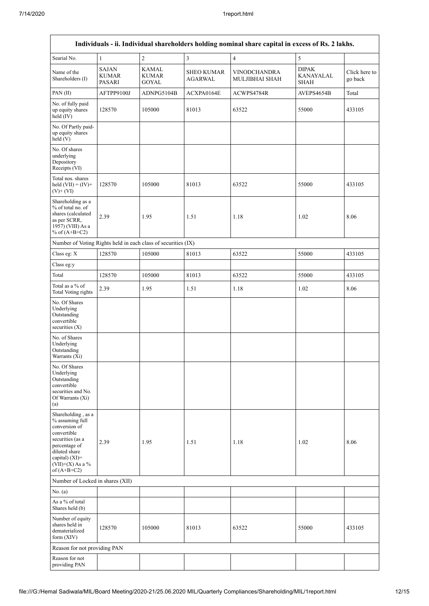| Individuals - ii. Individual shareholders holding nominal share capital in excess of Rs. 2 lakhs.                                                                                    |                                        |                                                               |                                     |                                |                                                 |                          |  |  |  |  |  |
|--------------------------------------------------------------------------------------------------------------------------------------------------------------------------------------|----------------------------------------|---------------------------------------------------------------|-------------------------------------|--------------------------------|-------------------------------------------------|--------------------------|--|--|--|--|--|
| Searial No.                                                                                                                                                                          | $\mathbf{1}$                           | $\overline{c}$                                                | $\overline{\mathbf{3}}$             | $\overline{4}$                 | $\sqrt{5}$                                      |                          |  |  |  |  |  |
| Name of the<br>Shareholders (I)                                                                                                                                                      | <b>SAJAN</b><br><b>KUMAR</b><br>PASARI | <b>KAMAL</b><br>KUMAR<br><b>GOYAL</b>                         | <b>SHEO KUMAR</b><br><b>AGARWAL</b> | VINODCHANDRA<br>MULJIBHAI SHAH | <b>DIPAK</b><br><b>KANAYALAL</b><br><b>SHAH</b> | Click here to<br>go back |  |  |  |  |  |
| PAN(II)                                                                                                                                                                              | AFTPP9100J                             | ADNPG5104B                                                    | ACXPA0164E                          | ACWPS4784R                     | AVEPS4654B                                      | Total                    |  |  |  |  |  |
| No. of fully paid<br>up equity shares<br>held $(IV)$                                                                                                                                 | 128570                                 | 105000                                                        | 81013                               | 63522                          | 55000                                           | 433105                   |  |  |  |  |  |
| No. Of Partly paid-<br>up equity shares<br>held (V)                                                                                                                                  |                                        |                                                               |                                     |                                |                                                 |                          |  |  |  |  |  |
| No. Of shares<br>underlying<br>Depository<br>Receipts (VI)                                                                                                                           |                                        |                                                               |                                     |                                |                                                 |                          |  |  |  |  |  |
| Total nos. shares<br>held $(VII) = (IV) +$<br>$(V)+(VI)$                                                                                                                             | 128570                                 | 105000                                                        | 81013                               | 63522                          | 55000                                           | 433105                   |  |  |  |  |  |
| Shareholding as a<br>% of total no. of<br>shares (calculated<br>as per SCRR,<br>1957) (VIII) As a<br>% of $(A+B+C2)$                                                                 | 2.39                                   | 1.95                                                          | 1.51                                | 1.18                           | 1.02                                            | 8.06                     |  |  |  |  |  |
|                                                                                                                                                                                      |                                        | Number of Voting Rights held in each class of securities (IX) |                                     |                                |                                                 |                          |  |  |  |  |  |
| Class eg: X                                                                                                                                                                          | 128570                                 | 105000                                                        | 81013                               | 63522                          | 55000                                           | 433105                   |  |  |  |  |  |
| Class eg:y                                                                                                                                                                           |                                        |                                                               |                                     |                                |                                                 |                          |  |  |  |  |  |
| Total                                                                                                                                                                                | 128570                                 | 105000                                                        | 81013                               | 63522                          | 55000                                           | 433105                   |  |  |  |  |  |
| Total as a $\%$ of<br><b>Total Voting rights</b>                                                                                                                                     | 2.39                                   | 1.95                                                          | 1.51                                | 1.18                           | 1.02                                            | 8.06                     |  |  |  |  |  |
| No. Of Shares<br>Underlying<br>Outstanding<br>convertible<br>securities (X)                                                                                                          |                                        |                                                               |                                     |                                |                                                 |                          |  |  |  |  |  |
| No. of Shares<br>Underlying<br>Outstanding<br>Warrants (Xi)                                                                                                                          |                                        |                                                               |                                     |                                |                                                 |                          |  |  |  |  |  |
| No. Of Shares<br>Underlying<br>Outstanding<br>convertible<br>securities and No.<br>Of Warrants (Xi)<br>(a)                                                                           |                                        |                                                               |                                     |                                |                                                 |                          |  |  |  |  |  |
| Shareholding, as a<br>% assuming full<br>conversion of<br>convertible<br>securities (as a<br>percentage of<br>diluted share<br>capital) (XI)=<br>$(VII)+(X)$ As a %<br>of $(A+B+C2)$ | 2.39                                   | 1.95                                                          | 1.51                                | 1.18                           | 1.02                                            | 8.06                     |  |  |  |  |  |
| Number of Locked in shares (XII)                                                                                                                                                     |                                        |                                                               |                                     |                                |                                                 |                          |  |  |  |  |  |
| No. (a)                                                                                                                                                                              |                                        |                                                               |                                     |                                |                                                 |                          |  |  |  |  |  |
| As a % of total<br>Shares held (b)                                                                                                                                                   |                                        |                                                               |                                     |                                |                                                 |                          |  |  |  |  |  |
| Number of equity<br>shares held in<br>dematerialized<br>form (XIV)                                                                                                                   | 128570                                 | 105000                                                        | 81013                               | 63522                          | 55000                                           | 433105                   |  |  |  |  |  |
| Reason for not providing PAN                                                                                                                                                         |                                        |                                                               |                                     |                                |                                                 |                          |  |  |  |  |  |
| Reason for not<br>providing PAN                                                                                                                                                      |                                        |                                                               |                                     |                                |                                                 |                          |  |  |  |  |  |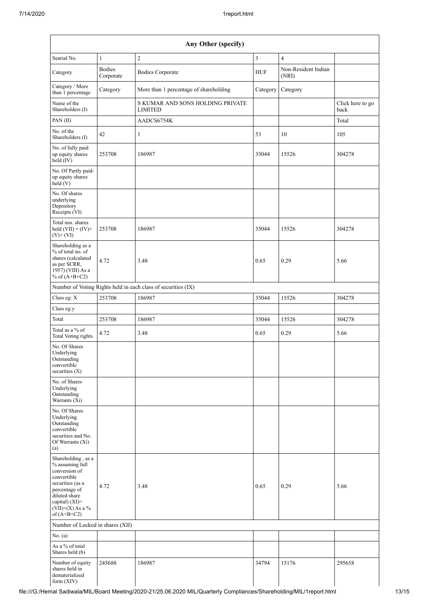| Any Other (specify)                                                                                                                                                                  |                            |                                                    |                |                              |                          |  |  |  |  |
|--------------------------------------------------------------------------------------------------------------------------------------------------------------------------------------|----------------------------|----------------------------------------------------|----------------|------------------------------|--------------------------|--|--|--|--|
| Searial No.                                                                                                                                                                          | $\mathbf{1}$               | $\sqrt{2}$                                         | $\mathfrak{Z}$ | $\overline{4}$               |                          |  |  |  |  |
| Category                                                                                                                                                                             | <b>Bodies</b><br>Corporate | <b>Bodies Corporate</b>                            | <b>HUF</b>     | Non-Resident Indian<br>(NRI) |                          |  |  |  |  |
| Category / More<br>than 1 percentage                                                                                                                                                 | Category                   | More than 1 percentage of shareholding             | Category       | Category                     |                          |  |  |  |  |
| Name of the<br>Shareholders (I)                                                                                                                                                      |                            | S KUMAR AND SONS HOLDING PRIVATE<br><b>LIMITED</b> |                |                              | Click here to go<br>back |  |  |  |  |
| PAN(II)                                                                                                                                                                              |                            | AADCS6754K                                         |                |                              | Total                    |  |  |  |  |
| No. of the<br>Shareholders (I)                                                                                                                                                       | 42                         | $\mathbf{1}$                                       | 53             | 10                           | 105                      |  |  |  |  |
| No. of fully paid<br>up equity shares<br>$\text{held}(\text{IV})$                                                                                                                    | 253708                     | 186987                                             | 35044          | 15526                        | 304278                   |  |  |  |  |
| No. Of Partly paid-<br>up equity shares<br>held (V)                                                                                                                                  |                            |                                                    |                |                              |                          |  |  |  |  |
| No. Of shares<br>underlying<br>Depository<br>Receipts (VI)                                                                                                                           |                            |                                                    |                |                              |                          |  |  |  |  |
| Total nos. shares<br>held $(VII) = (IV) +$<br>$(V)+(VI)$                                                                                                                             | 253708                     | 186987                                             | 35044          | 15526                        | 304278                   |  |  |  |  |
| Shareholding as a<br>% of total no. of<br>shares (calculated<br>as per SCRR,<br>1957) (VIII) As a<br>% of $(A+B+C2)$                                                                 | 4.72                       | 3.48                                               | 0.65           | 0.29                         | 5.66                     |  |  |  |  |
| Number of Voting Rights held in each class of securities (IX)                                                                                                                        |                            |                                                    |                |                              |                          |  |  |  |  |
| Class eg: X                                                                                                                                                                          | 253708                     | 186987                                             | 35044          | 15526                        | 304278                   |  |  |  |  |
| Class eg:y                                                                                                                                                                           |                            |                                                    |                |                              |                          |  |  |  |  |
| Total                                                                                                                                                                                | 253708                     | 186987                                             | 35044          | 15526                        | 304278                   |  |  |  |  |
| Total as a % of<br>Total Voting rights                                                                                                                                               | 4.72                       | 3.48                                               | 0.65           | 0.29                         | 5.66                     |  |  |  |  |
| No. Of Shares<br>Underlying<br>Outstanding<br>convertible<br>securities $(X)$                                                                                                        |                            |                                                    |                |                              |                          |  |  |  |  |
| No. of Shares<br>Underlying<br>Outstanding<br>Warrants (Xi)                                                                                                                          |                            |                                                    |                |                              |                          |  |  |  |  |
| No. Of Shares<br>Underlying<br>Outstanding<br>convertible<br>securities and No.<br>Of Warrants (Xi)<br>(a)                                                                           |                            |                                                    |                |                              |                          |  |  |  |  |
| Shareholding, as a<br>% assuming full<br>conversion of<br>convertible<br>securities (as a<br>percentage of<br>diluted share<br>capital) (XI)=<br>$(VII)+(X)$ As a %<br>of $(A+B+C2)$ | 4.72                       | 3.48                                               | 0.65           | 0.29                         | 5.66                     |  |  |  |  |
| Number of Locked in shares (XII)                                                                                                                                                     |                            |                                                    |                |                              |                          |  |  |  |  |
| No. (a)                                                                                                                                                                              |                            |                                                    |                |                              |                          |  |  |  |  |
| As a % of total<br>Shares held (b)                                                                                                                                                   |                            |                                                    |                |                              |                          |  |  |  |  |
| Number of equity<br>shares held in<br>dematerialized<br>form $(XIV)$                                                                                                                 | 245688                     | 186987                                             | 34794          | 15176                        | 295658                   |  |  |  |  |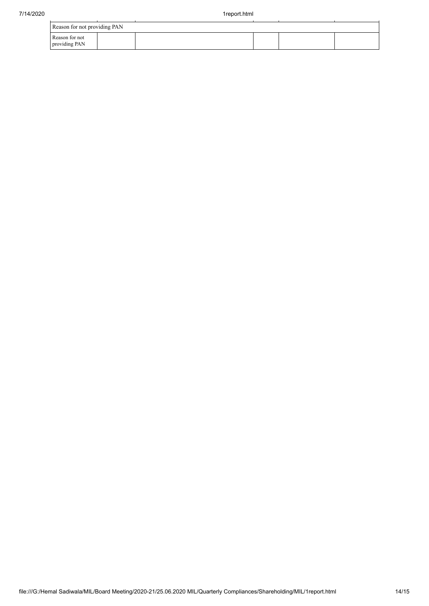| Reason for not providing PAN    |  |  |  |  |  |  |  |  |
|---------------------------------|--|--|--|--|--|--|--|--|
| Reason for not<br>providing PAN |  |  |  |  |  |  |  |  |